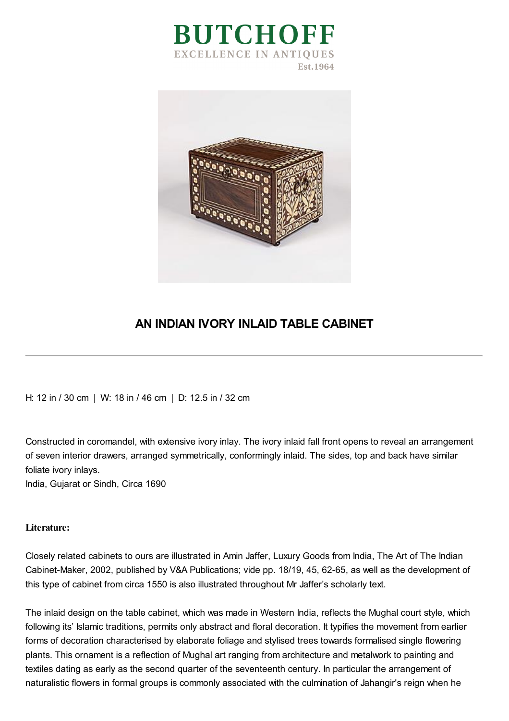



## **AN INDIAN IVORY INLAID TABLE CABINET**

H: 12 in / 30 cm | W: 18 in / 46 cm | D: 12.5 in / 32 cm

Constructed in coromandel, with extensive ivory inlay. The ivory inlaid fall front opens to reveal an arrangement of seven interior drawers, arranged symmetrically, conformingly inlaid. The sides, top and back have similar foliate ivory inlays.

India, Gujarat or Sindh, Circa 1690

## **Literature:**

Closely related cabinets to ours are illustrated in Amin Jaffer, Luxury Goods from India, The Art of The Indian Cabinet-Maker, 2002, published by V&A Publications; vide pp. 18/19, 45, 62-65, as well as the development of this type of cabinet from circa 1550 is also illustrated throughout Mr Jaffer's scholarly text.

The inlaid design on the table cabinet, which was made in Western India, reflects the Mughal court style, which following its' Islamic traditions, permits only abstract and floral decoration. It typifies the movement from earlier forms of decoration characterised by elaborate foliage and stylised trees towards formalised single flowering plants. This ornament is a reflection of Mughal art ranging from architecture and metalwork to painting and textiles dating as early as the second quarter of the seventeenth century. In particular the arrangement of naturalistic flowers in formal groups is commonly associated with the culmination of Jahangir's reign when he